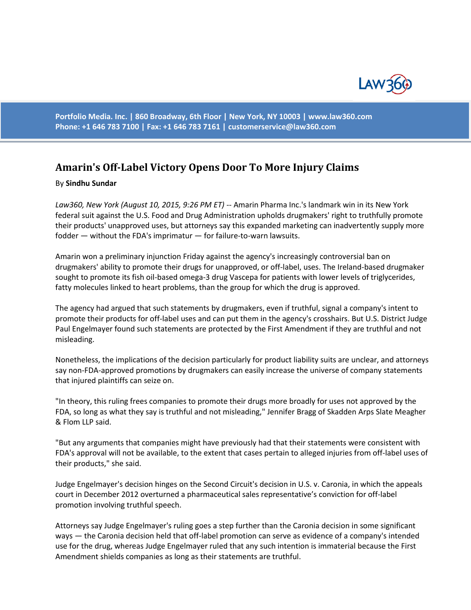

**Portfolio Media. Inc. | 860 Broadway, 6th Floor | New York, NY 10003 | www.law360.com Phone: +1 646 783 7100 | Fax: +1 646 783 7161 | [customerservice@law360.com](mailto:customerservice@law360.com)**

## **Amarin's Off-Label Victory Opens Door To More Injury Claims**

## By **Sindhu Sundar**

*Law360, New York (August 10, 2015, 9:26 PM ET)* -- Amarin Pharma Inc.'s landmark win in its New York federal suit against the U.S. Food and Drug Administration upholds drugmakers' right to truthfully promote their products' unapproved uses, but attorneys say this expanded marketing can inadvertently supply more fodder — without the FDA's imprimatur — for failure-to-warn lawsuits.

Amarin won a preliminary injunction Friday against the agency's increasingly controversial ban on drugmakers' ability to promote their drugs for unapproved, or off-label, uses. The Ireland-based drugmaker sought to promote its fish oil-based omega-3 drug Vascepa for patients with lower levels of triglycerides, fatty molecules linked to heart problems, than the group for which the drug is approved.

The agency had argued that such statements by drugmakers, even if truthful, signal a company's intent to promote their products for off-label uses and can put them in the agency's crosshairs. But U.S. District Judge Paul Engelmayer found such statements are protected by the First Amendment if they are truthful and not misleading.

Nonetheless, the implications of the decision particularly for product liability suits are unclear, and attorneys say non-FDA-approved promotions by drugmakers can easily increase the universe of company statements that injured plaintiffs can seize on.

"In theory, this ruling frees companies to promote their drugs more broadly for uses not approved by the FDA, so long as what they say is truthful and not misleading," Jennifer Bragg of Skadden Arps Slate Meagher & Flom LLP said.

"But any arguments that companies might have previously had that their statements were consistent with FDA's approval will not be available, to the extent that cases pertain to alleged injuries from off-label uses of their products," she said.

Judge Engelmayer's decision hinges on the Second Circuit's decision in U.S. v. Caronia, in which the appeals court in December 2012 overturned a pharmaceutical sales representative's conviction for off-label promotion involving truthful speech.

Attorneys say Judge Engelmayer's ruling goes a step further than the Caronia decision in some significant ways — the Caronia decision held that off-label promotion can serve as evidence of a company's intended use for the drug, whereas Judge Engelmayer ruled that any such intention is immaterial because the First Amendment shields companies as long as their statements are truthful.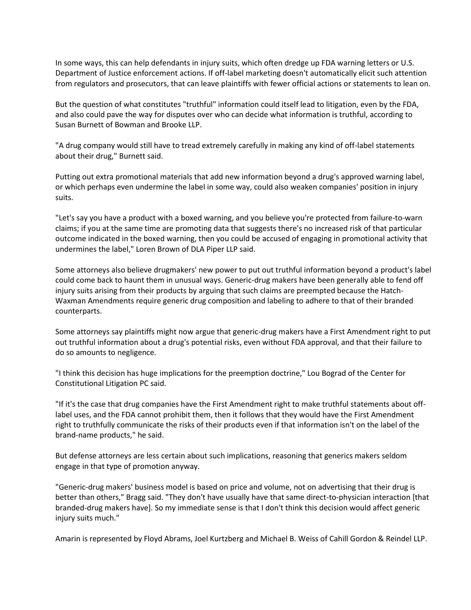In some ways, this can help defendants in injury suits, which often dredge up FDA warning letters or U.S. Department of Justice enforcement actions. If off-label marketing doesn't automatically elicit such attention from regulators and prosecutors, that can leave plaintiffs with fewer official actions or statements to lean on.

But the question of what constitutes "truthful" information could itself lead to litigation, even by the FDA, and also could pave the way for disputes over who can decide what information is truthful, according to Susan Burnett of Bowman and Brooke LLP.

"A drug company would still have to tread extremely carefully in making any kind of off-label statements about their drug," Burnett said.

Putting out extra promotional materials that add new information beyond a drug's approved warning label, or which perhaps even undermine the label in some way, could also weaken companies' position in injury suits.

"Let's say you have a product with a boxed warning, and you believe you're protected from failure-to-warn claims; if you at the same time are promoting data that suggests there's no increased risk of that particular outcome indicated in the boxed warning, then you could be accused of engaging in promotional activity that undermines the label," Loren Brown of DLA Piper LLP said.

Some attorneys also believe drugmakers' new power to put out truthful information beyond a product's label could come back to haunt them in unusual ways. Generic-drug makers have been generally able to fend off injury suits arising from their products by arguing that such claims are preempted because the Hatch-Waxman Amendments require generic drug composition and labeling to adhere to that of their branded counterparts.

Some attorneys say plaintiffs might now argue that generic-drug makers have a First Amendment right to put out truthful information about a drug's potential risks, even without FDA approval, and that their failure to do so amounts to negligence.

"I think this decision has huge implications for the preemption doctrine," Lou Bograd of the Center for Constitutional Litigation PC said.

"If it's the case that drug companies have the First Amendment right to make truthful statements about offlabel uses, and the FDA cannot prohibit them, then it follows that they would have the First Amendment right to truthfully communicate the risks of their products even if that information isn't on the label of the brand-name products," he said.

But defense attorneys are less certain about such implications, reasoning that generics makers seldom engage in that type of promotion anyway.

"Generic-drug makers' business model is based on price and volume, not on advertising that their drug is better than others," Bragg said. "They don't have usually have that same direct-to-physician interaction [that branded-drug makers have]. So my immediate sense is that I don't think this decision would affect generic injury suits much."

Amarin is represented by Floyd Abrams, Joel Kurtzberg and Michael B. Weiss of Cahill Gordon & Reindel LLP.